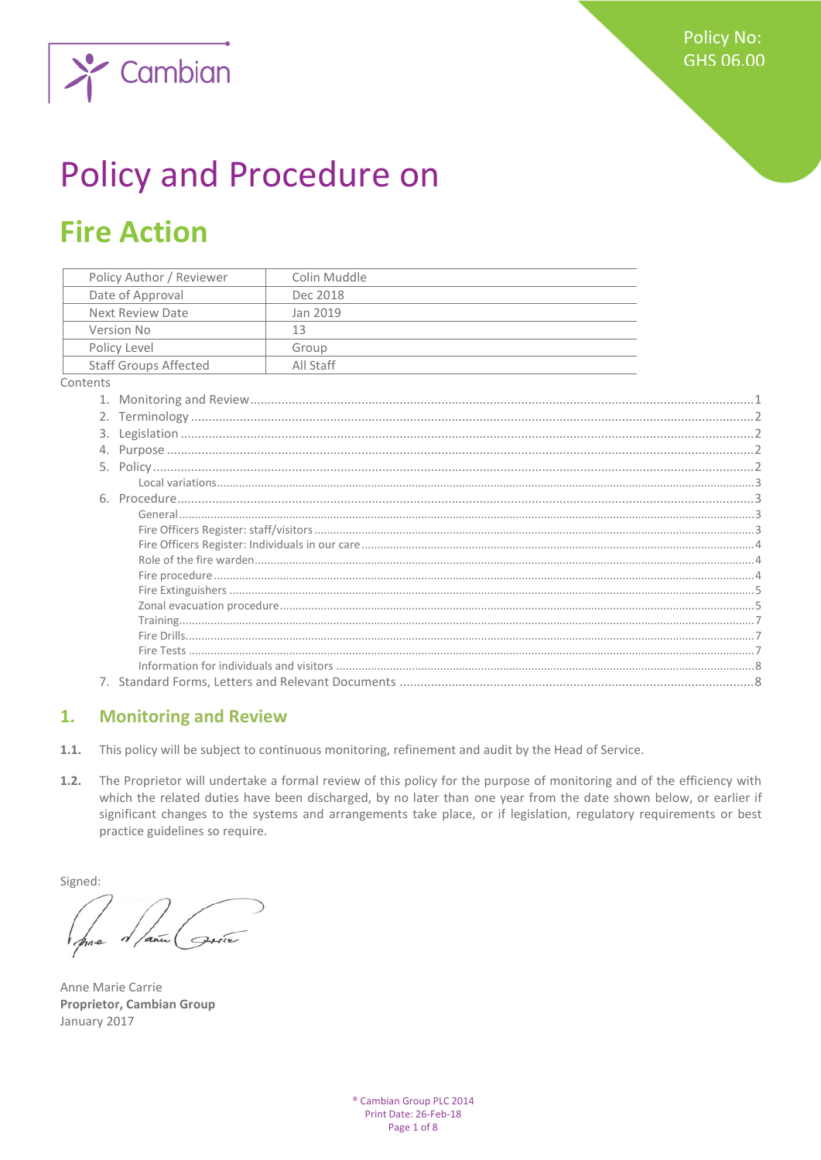

# **Policy and Procedure on**

# **Fire Action**

| Policy Author / Reviewer |                              | Colin Muddle |  |
|--------------------------|------------------------------|--------------|--|
| Date of Approval         |                              | Dec 2018     |  |
| <b>Next Review Date</b>  |                              | Jan 2019     |  |
| Version No               |                              | 13           |  |
| Policy Level             |                              | Group        |  |
|                          | <b>Staff Groups Affected</b> | All Staff    |  |
| ontents                  |                              |              |  |
|                          |                              |              |  |
|                          |                              |              |  |
|                          |                              |              |  |
|                          |                              |              |  |
|                          |                              |              |  |
|                          |                              |              |  |
|                          |                              |              |  |
|                          |                              |              |  |
|                          |                              |              |  |
|                          |                              |              |  |
|                          |                              |              |  |
|                          |                              |              |  |
|                          |                              |              |  |
|                          |                              |              |  |
|                          |                              |              |  |
|                          |                              |              |  |
|                          |                              |              |  |

#### <span id="page-0-0"></span>

#### $\mathbf{1}$ . **Monitoring and Review**

- $1.1.$ This policy will be subject to continuous monitoring, refinement and audit by the Head of Service.
- The Proprietor will undertake a formal review of this policy for the purpose of monitoring and of the efficiency with  $1.2.$ which the related duties have been discharged, by no later than one year from the date shown below, or earlier if significant changes to the systems and arrangements take place, or if legislation, regulatory requirements or best practice guidelines so require.

Signed:

Anne Marie Carrie **Proprietor, Cambian Group** January 2017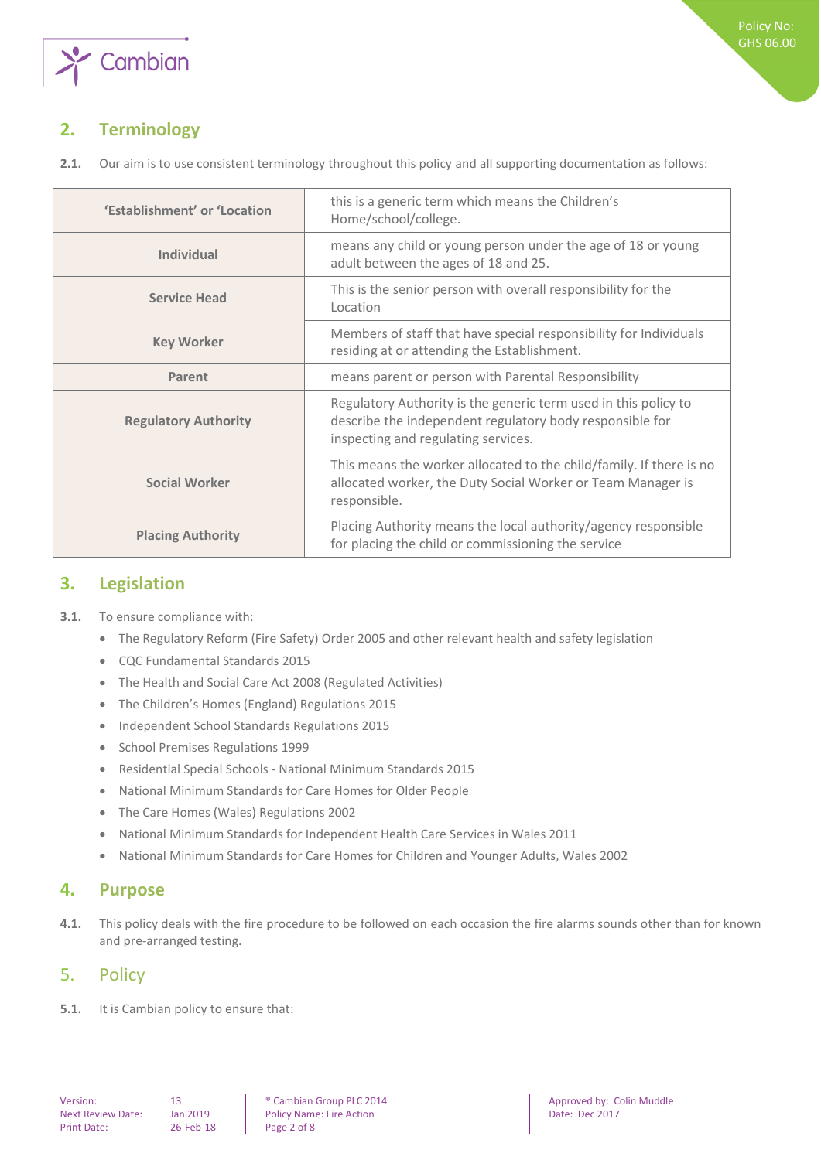

# <span id="page-1-0"></span>**2. Terminology**

**2.1.** Our aim is to use consistent terminology throughout this policy and all supporting documentation as follows:

| 'Establishment' or 'Location | this is a generic term which means the Children's<br>Home/school/college.                                                                                          |  |  |  |
|------------------------------|--------------------------------------------------------------------------------------------------------------------------------------------------------------------|--|--|--|
| Individual                   | means any child or young person under the age of 18 or young<br>adult between the ages of 18 and 25.                                                               |  |  |  |
| <b>Service Head</b>          | This is the senior person with overall responsibility for the<br>Location                                                                                          |  |  |  |
| <b>Key Worker</b>            | Members of staff that have special responsibility for Individuals<br>residing at or attending the Establishment.                                                   |  |  |  |
| Parent                       | means parent or person with Parental Responsibility                                                                                                                |  |  |  |
| <b>Regulatory Authority</b>  | Regulatory Authority is the generic term used in this policy to<br>describe the independent regulatory body responsible for<br>inspecting and regulating services. |  |  |  |
| <b>Social Worker</b>         | This means the worker allocated to the child/family. If there is no<br>allocated worker, the Duty Social Worker or Team Manager is<br>responsible.                 |  |  |  |
| <b>Placing Authority</b>     | Placing Authority means the local authority/agency responsible<br>for placing the child or commissioning the service                                               |  |  |  |

# <span id="page-1-1"></span>**3. Legislation**

- **3.1.** To ensure compliance with:
	- The Regulatory Reform (Fire Safety) Order 2005 and other relevant health and safety legislation
	- CQC Fundamental Standards 2015
	- The Health and Social Care Act 2008 (Regulated Activities)
	- The Children's Homes (England) Regulations 2015
	- Independent School Standards Regulations 2015
	- School Premises Regulations 1999
	- Residential Special Schools National Minimum Standards 2015
	- National Minimum Standards for Care Homes for Older People
	- The Care Homes (Wales) Regulations 2002
	- National Minimum Standards for Independent Health Care Services in Wales 2011
	- National Minimum Standards for Care Homes for Children and Younger Adults, Wales 2002

# <span id="page-1-2"></span>**4. Purpose**

**4.1.** This policy deals with the fire procedure to be followed on each occasion the fire alarms sounds other than for known and pre-arranged testing.

# <span id="page-1-3"></span>5. Policy

**5.1.** It is Cambian policy to ensure that: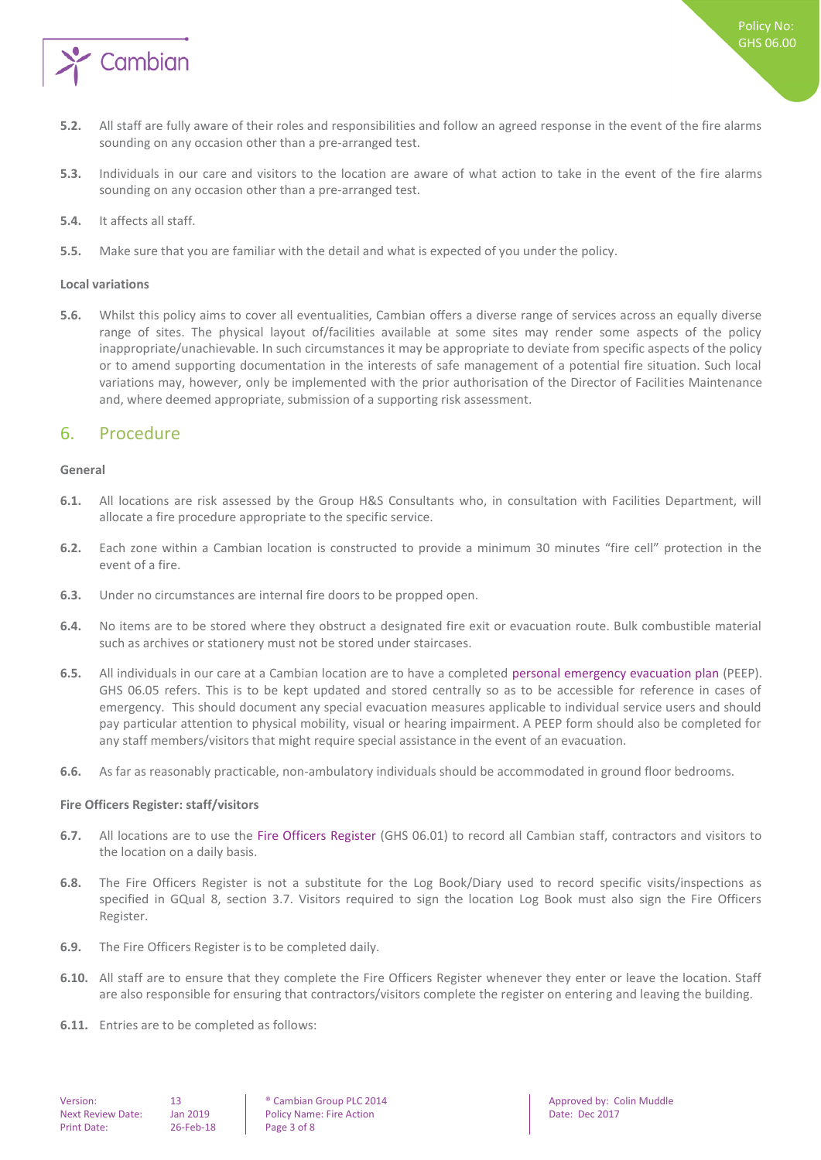

- **5.2.** All staff are fully aware of their roles and responsibilities and follow an agreed response in the event of the fire alarms sounding on any occasion other than a pre-arranged test.
- **5.3.** Individuals in our care and visitors to the location are aware of what action to take in the event of the fire alarms sounding on any occasion other than a pre-arranged test.
- **5.4.** It affects all staff.
- <span id="page-2-0"></span>**5.5.** Make sure that you are familiar with the detail and what is expected of you under the policy.

#### **Local variations**

**5.6.** Whilst this policy aims to cover all eventualities, Cambian offers a diverse range of services across an equally diverse range of sites. The physical layout of/facilities available at some sites may render some aspects of the policy inappropriate/unachievable. In such circumstances it may be appropriate to deviate from specific aspects of the policy or to amend supporting documentation in the interests of safe management of a potential fire situation. Such local variations may, however, only be implemented with the prior authorisation of the Director of Facilities Maintenance and, where deemed appropriate, submission of a supporting risk assessment.

### <span id="page-2-1"></span>6. Procedure

#### <span id="page-2-2"></span>**General**

- **6.1.** All locations are risk assessed by the Group H&S Consultants who, in consultation with Facilities Department, will allocate a fire procedure appropriate to the specific service.
- **6.2.** Each zone within a Cambian location is constructed to provide a minimum 30 minutes "fire cell" protection in the event of a fire.
- **6.3.** Under no circumstances are internal fire doors to be propped open.
- **6.4.** No items are to be stored where they obstruct a designated fire exit or evacuation route. Bulk combustible material such as archives or stationery must not be stored under staircases.
- **6.5.** All individuals in our care at a Cambian location are to have a completed personal emergency evacuation plan (PEEP). GHS 06.05 refers. This is to be kept updated and stored centrally so as to be accessible for reference in cases of emergency. This should document any special evacuation measures applicable to individual service users and should pay particular attention to physical mobility, visual or hearing impairment. A PEEP form should also be completed for any staff members/visitors that might require special assistance in the event of an evacuation.
- <span id="page-2-3"></span>**6.6.** As far as reasonably practicable, non-ambulatory individuals should be accommodated in ground floor bedrooms.

#### **Fire Officers Register: staff/visitors**

- **6.7.** All locations are to use the Fire Officers Register (GHS 06.01) to record all Cambian staff, contractors and visitors to the location on a daily basis.
- **6.8.** The Fire Officers Register is not a substitute for the Log Book/Diary used to record specific visits/inspections as specified in GQual 8, section 3.7. Visitors required to sign the location Log Book must also sign the Fire Officers Register.
- **6.9.** The Fire Officers Register is to be completed daily.
- **6.10.** All staff are to ensure that they complete the Fire Officers Register whenever they enter or leave the location. Staff are also responsible for ensuring that contractors/visitors complete the register on entering and leaving the building.
- **6.11.** Entries are to be completed as follows:

Next Review Date: Jan 2019 | Policy Name: Fire Action | Date: Dec 2017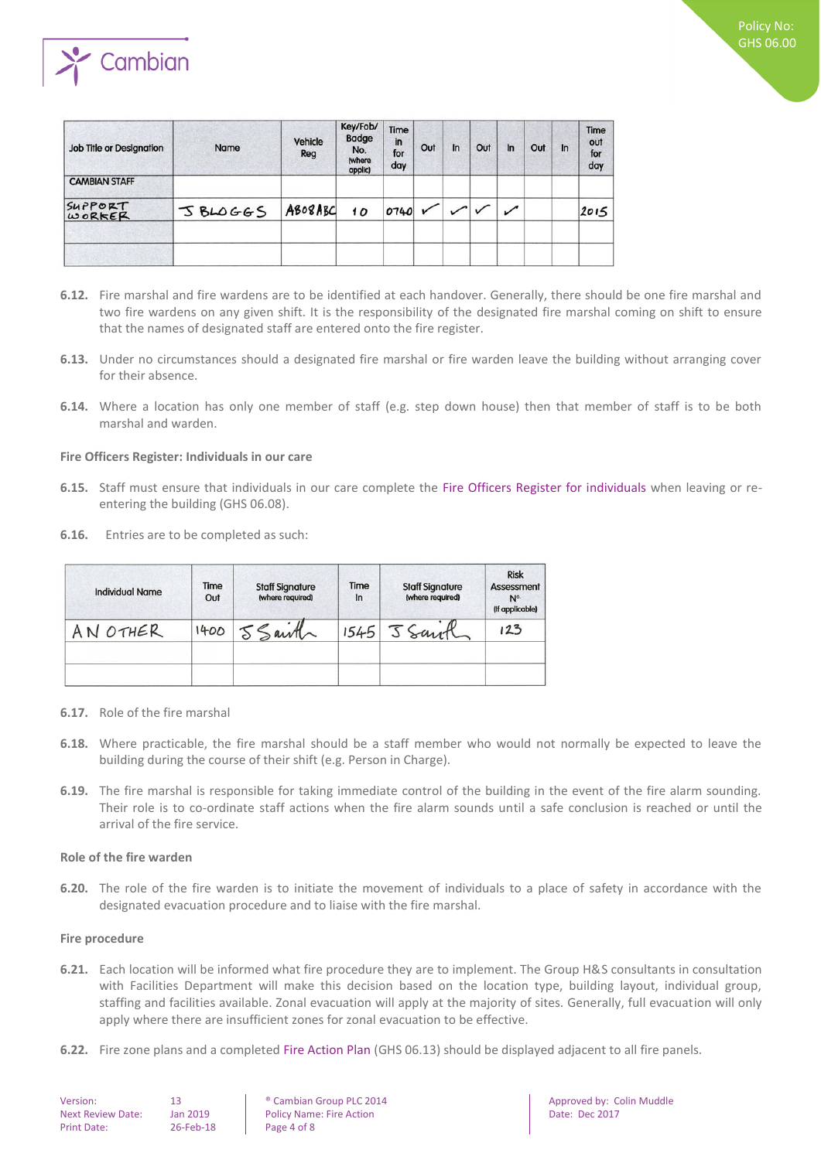

| <b>Job Title or Designation</b> | Name    | Vehicle<br>Reg | Key/Fob/<br><b>Badge</b><br>No.<br>(where<br>applic) | Time<br>in<br>for<br>day | Out | $\ln$ | Out | $\ln$ | Out | ln | Time<br>out<br>for<br>day |
|---------------------------------|---------|----------------|------------------------------------------------------|--------------------------|-----|-------|-----|-------|-----|----|---------------------------|
| <b>CAMBIAN STAFF</b>            |         |                |                                                      |                          |     |       |     |       |     |    |                           |
| SUPPORT<br>WORKER               | JBLOGGS | ABOBABC        | 10                                                   | 0740                     |     |       |     |       |     |    | 2015                      |
|                                 |         |                |                                                      |                          |     |       |     |       |     |    |                           |

- **6.12.** Fire marshal and fire wardens are to be identified at each handover. Generally, there should be one fire marshal and two fire wardens on any given shift. It is the responsibility of the designated fire marshal coming on shift to ensure that the names of designated staff are entered onto the fire register.
- **6.13.** Under no circumstances should a designated fire marshal or fire warden leave the building without arranging cover for their absence.
- **6.14.** Where a location has only one member of staff (e.g. step down house) then that member of staff is to be both marshal and warden.

#### <span id="page-3-0"></span>**Fire Officers Register: Individuals in our care**

- **6.15.** Staff must ensure that individuals in our care complete the Fire Officers Register for individuals when leaving or reentering the building (GHS 06.08).
- **6.16.** Entries are to be completed as such:

| <b>Individual Name</b> | Time<br>Out | <b>Staff Signature</b><br>(where required) | Time<br>In | <b>Staff Signature</b><br>(where required) | <b>Risk</b><br>Assessment<br>N <sup>o.</sup><br>(If applicable) |
|------------------------|-------------|--------------------------------------------|------------|--------------------------------------------|-----------------------------------------------------------------|
| AN OTHER               |             | 1400 5 Sainth                              |            | 1545 5 Santh                               | 123                                                             |
|                        |             |                                            |            |                                            |                                                                 |

- **6.17.** Role of the fire marshal
- **6.18.** Where practicable, the fire marshal should be a staff member who would not normally be expected to leave the building during the course of their shift (e.g. Person in Charge).
- **6.19.** The fire marshal is responsible for taking immediate control of the building in the event of the fire alarm sounding. Their role is to co-ordinate staff actions when the fire alarm sounds until a safe conclusion is reached or until the arrival of the fire service.

#### <span id="page-3-1"></span>**Role of the fire warden**

**6.20.** The role of the fire warden is to initiate the movement of individuals to a place of safety in accordance with the designated evacuation procedure and to liaise with the fire marshal.

#### <span id="page-3-2"></span>**Fire procedure**

- **6.21.** Each location will be informed what fire procedure they are to implement. The Group H&S consultants in consultation with Facilities Department will make this decision based on the location type, building layout, individual group, staffing and facilities available. Zonal evacuation will apply at the majority of sites. Generally, full evacuation will only apply where there are insufficient zones for zonal evacuation to be effective.
- **6.22.** Fire zone plans and a completed Fire Action Plan (GHS 06.13) should be displayed adjacent to all fire panels.

| Version:                 |  |  |  |  |  |
|--------------------------|--|--|--|--|--|
| <b>Next Review Date:</b> |  |  |  |  |  |
| <b>Print Date:</b>       |  |  |  |  |  |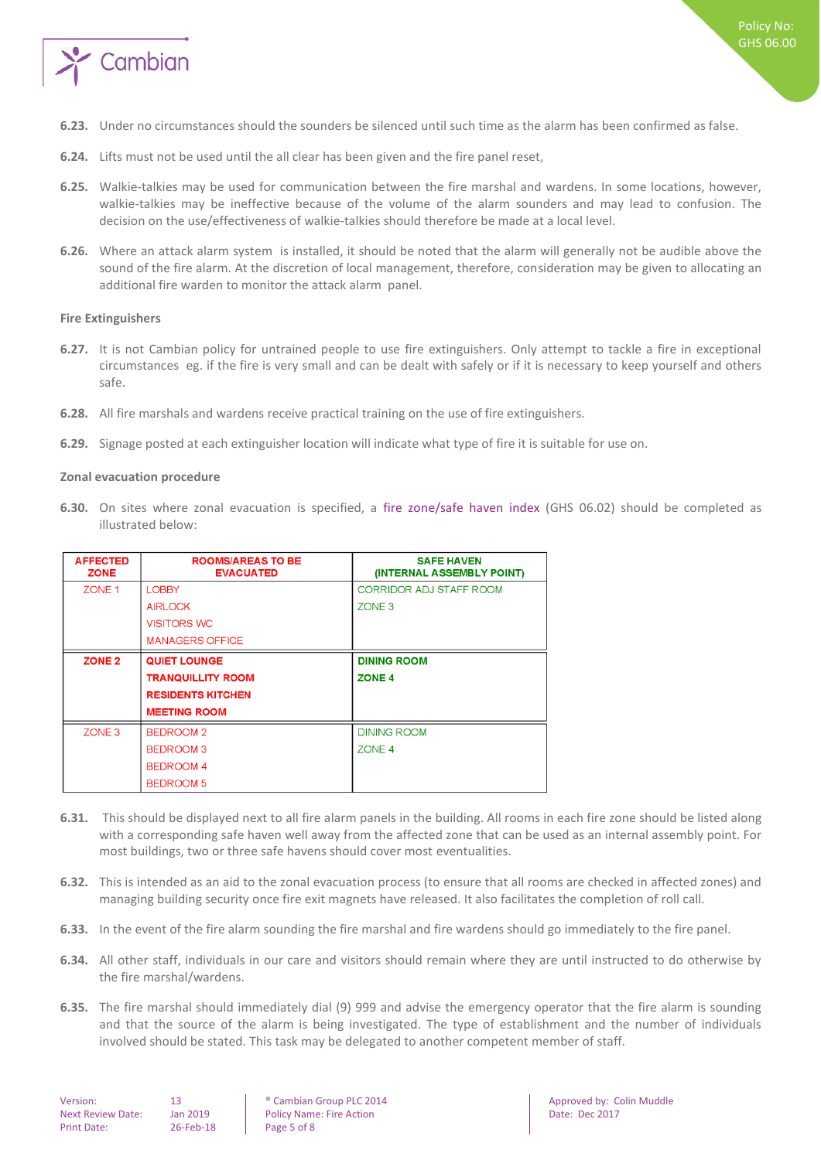

- **6.23.** Under no circumstances should the sounders be silenced until such time as the alarm has been confirmed as false.
- **6.24.** Lifts must not be used until the all clear has been given and the fire panel reset,
- **6.25.** Walkie-talkies may be used for communication between the fire marshal and wardens. In some locations, however, walkie-talkies may be ineffective because of the volume of the alarm sounders and may lead to confusion. The decision on the use/effectiveness of walkie-talkies should therefore be made at a local level.
- **6.26.** Where an attack alarm system is installed, it should be noted that the alarm will generally not be audible above the sound of the fire alarm. At the discretion of local management, therefore, consideration may be given to allocating an additional fire warden to monitor the attack alarm panel.

#### <span id="page-4-0"></span>**Fire Extinguishers**

- **6.27.** It is not Cambian policy for untrained people to use fire extinguishers. Only attempt to tackle a fire in exceptional circumstances eg. if the fire is very small and can be dealt with safely or if it is necessary to keep yourself and others safe.
- **6.28.** All fire marshals and wardens receive practical training on the use of fire extinguishers.
- <span id="page-4-1"></span>**6.29.** Signage posted at each extinguisher location will indicate what type of fire it is suitable for use on.

#### **Zonal evacuation procedure**

**6.30.** On sites where zonal evacuation is specified, a fire zone/safe haven index (GHS 06.02) should be completed as illustrated below:

| <b>AFFECTED</b><br><b>ZONE</b> | <b>ROOMS/AREAS TO BE</b><br><b>EVACUATED</b> | <b>SAFE HAVEN</b><br>(INTERNAL ASSEMBLY POINT) |  |  |  |
|--------------------------------|----------------------------------------------|------------------------------------------------|--|--|--|
| ZONE <sub>1</sub>              | <b>LOBBY</b>                                 | <b>CORRIDOR ADJ STAFF ROOM</b>                 |  |  |  |
|                                | <b>AIRLOCK</b>                               | ZONE <sub>3</sub>                              |  |  |  |
|                                | <b>VISITORS WC</b>                           |                                                |  |  |  |
|                                | <b>MANAGERS OFFICE</b>                       |                                                |  |  |  |
| ZONE <sub>2</sub>              | <b>QUIET LOUNGE</b>                          | <b>DINING ROOM</b>                             |  |  |  |
|                                | <b>TRANQUILLITY ROOM</b>                     | ZONE <sub>4</sub>                              |  |  |  |
|                                | <b>RESIDENTS KITCHEN</b>                     |                                                |  |  |  |
|                                | <b>MEETING ROOM</b>                          |                                                |  |  |  |
| ZONE <sub>3</sub>              | <b>BEDROOM 2</b>                             | <b>DINING ROOM</b>                             |  |  |  |
|                                | BEDROOM 3                                    | ZONE 4                                         |  |  |  |
|                                | <b>BEDROOM 4</b>                             |                                                |  |  |  |
|                                | <b>BEDROOM 5</b>                             |                                                |  |  |  |

- **6.31.** This should be displayed next to all fire alarm panels in the building. All rooms in each fire zone should be listed along with a corresponding safe haven well away from the affected zone that can be used as an internal assembly point. For most buildings, two or three safe havens should cover most eventualities.
- **6.32.** This is intended as an aid to the zonal evacuation process (to ensure that all rooms are checked in affected zones) and managing building security once fire exit magnets have released. It also facilitates the completion of roll call.
- **6.33.** In the event of the fire alarm sounding the fire marshal and fire wardens should go immediately to the fire panel.
- **6.34.** All other staff, individuals in our care and visitors should remain where they are until instructed to do otherwise by the fire marshal/wardens.
- **6.35.** The fire marshal should immediately dial (9) 999 and advise the emergency operator that the fire alarm is sounding and that the source of the alarm is being investigated. The type of establishment and the number of individuals involved should be stated. This task may be delegated to another competent member of staff.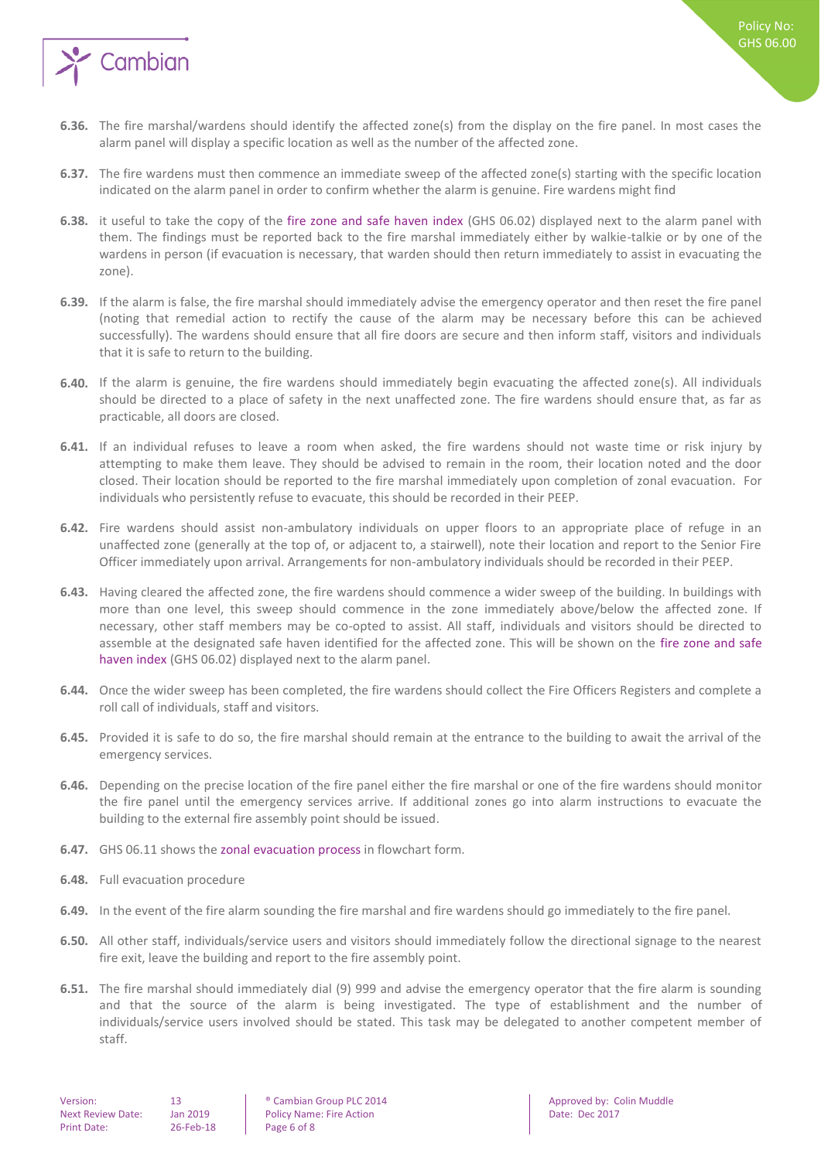

- **6.36.** The fire marshal/wardens should identify the affected zone(s) from the display on the fire panel. In most cases the alarm panel will display a specific location as well as the number of the affected zone.
- **6.37.** The fire wardens must then commence an immediate sweep of the affected zone(s) starting with the specific location indicated on the alarm panel in order to confirm whether the alarm is genuine. Fire wardens might find
- **6.38.** it useful to take the copy of the fire zone and safe haven index (GHS 06.02) displayed next to the alarm panel with them. The findings must be reported back to the fire marshal immediately either by walkie-talkie or by one of the wardens in person (if evacuation is necessary, that warden should then return immediately to assist in evacuating the zone).
- **6.39.** If the alarm is false, the fire marshal should immediately advise the emergency operator and then reset the fire panel (noting that remedial action to rectify the cause of the alarm may be necessary before this can be achieved successfully). The wardens should ensure that all fire doors are secure and then inform staff, visitors and individuals that it is safe to return to the building.
- **6.40.** If the alarm is genuine, the fire wardens should immediately begin evacuating the affected zone(s). All individuals should be directed to a place of safety in the next unaffected zone. The fire wardens should ensure that, as far as practicable, all doors are closed.
- **6.41.** If an individual refuses to leave a room when asked, the fire wardens should not waste time or risk injury by attempting to make them leave. They should be advised to remain in the room, their location noted and the door closed. Their location should be reported to the fire marshal immediately upon completion of zonal evacuation. For individuals who persistently refuse to evacuate, this should be recorded in their PEEP.
- **6.42.** Fire wardens should assist non-ambulatory individuals on upper floors to an appropriate place of refuge in an unaffected zone (generally at the top of, or adjacent to, a stairwell), note their location and report to the Senior Fire Officer immediately upon arrival. Arrangements for non-ambulatory individuals should be recorded in their PEEP.
- **6.43.** Having cleared the affected zone, the fire wardens should commence a wider sweep of the building. In buildings with more than one level, this sweep should commence in the zone immediately above/below the affected zone. If necessary, other staff members may be co-opted to assist. All staff, individuals and visitors should be directed to assemble at the designated safe haven identified for the affected zone. This will be shown on the fire zone and safe haven index (GHS 06.02) displayed next to the alarm panel.
- **6.44.** Once the wider sweep has been completed, the fire wardens should collect the Fire Officers Registers and complete a roll call of individuals, staff and visitors.
- **6.45.** Provided it is safe to do so, the fire marshal should remain at the entrance to the building to await the arrival of the emergency services.
- **6.46.** Depending on the precise location of the fire panel either the fire marshal or one of the fire wardens should monitor the fire panel until the emergency services arrive. If additional zones go into alarm instructions to evacuate the building to the external fire assembly point should be issued.
- **6.47.** GHS 06.11 shows the zonal evacuation process in flowchart form.
- **6.48.** Full evacuation procedure
- **6.49.** In the event of the fire alarm sounding the fire marshal and fire wardens should go immediately to the fire panel.
- **6.50.** All other staff, individuals/service users and visitors should immediately follow the directional signage to the nearest fire exit, leave the building and report to the fire assembly point.
- **6.51.** The fire marshal should immediately dial (9) 999 and advise the emergency operator that the fire alarm is sounding and that the source of the alarm is being investigated. The type of establishment and the number of individuals/service users involved should be stated. This task may be delegated to another competent member of staff.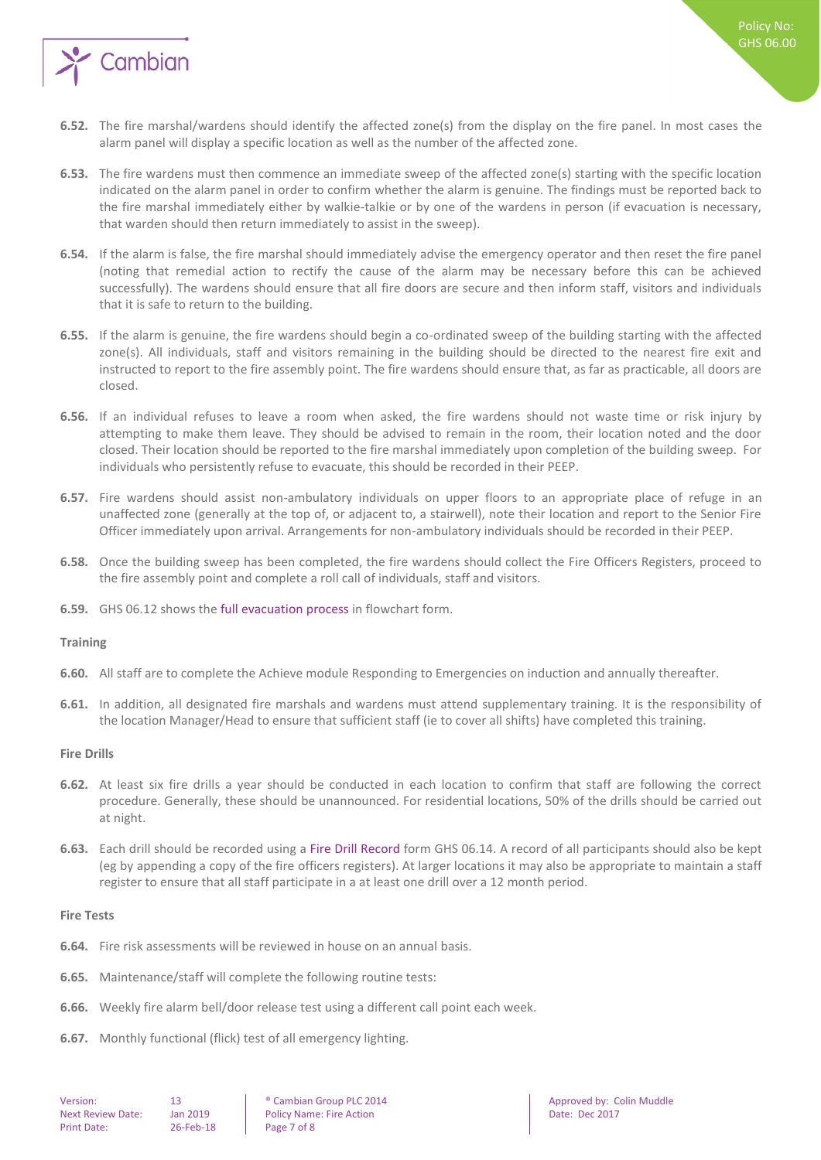

- **6.52.** The fire marshal/wardens should identify the affected zone(s) from the display on the fire panel. In most cases the alarm panel will display a specific location as well as the number of the affected zone.
- **6.53.** The fire wardens must then commence an immediate sweep of the affected zone(s) starting with the specific location indicated on the alarm panel in order to confirm whether the alarm is genuine. The findings must be reported back to the fire marshal immediately either by walkie-talkie or by one of the wardens in person (if evacuation is necessary, that warden should then return immediately to assist in the sweep).
- **6.54.** If the alarm is false, the fire marshal should immediately advise the emergency operator and then reset the fire panel (noting that remedial action to rectify the cause of the alarm may be necessary before this can be achieved successfully). The wardens should ensure that all fire doors are secure and then inform staff, visitors and individuals that it is safe to return to the building.
- **6.55.** If the alarm is genuine, the fire wardens should begin a co-ordinated sweep of the building starting with the affected zone(s). All individuals, staff and visitors remaining in the building should be directed to the nearest fire exit and instructed to report to the fire assembly point. The fire wardens should ensure that, as far as practicable, all doors are closed.
- **6.56.** If an individual refuses to leave a room when asked, the fire wardens should not waste time or risk injury by attempting to make them leave. They should be advised to remain in the room, their location noted and the door closed. Their location should be reported to the fire marshal immediately upon completion of the building sweep. For individuals who persistently refuse to evacuate, this should be recorded in their PEEP.
- **6.57.** Fire wardens should assist non-ambulatory individuals on upper floors to an appropriate place of refuge in an unaffected zone (generally at the top of, or adjacent to, a stairwell), note their location and report to the Senior Fire Officer immediately upon arrival. Arrangements for non-ambulatory individuals should be recorded in their PEEP.
- **6.58.** Once the building sweep has been completed, the fire wardens should collect the Fire Officers Registers, proceed to the fire assembly point and complete a roll call of individuals, staff and visitors.
- <span id="page-6-0"></span>**6.59.** GHS 06.12 shows the full evacuation process in flowchart form.

#### **Training**

- **6.60.** All staff are to complete the Achieve module Responding to Emergencies on induction and annually thereafter.
- **6.61.** In addition, all designated fire marshals and wardens must attend supplementary training. It is the responsibility of the location Manager/Head to ensure that sufficient staff (ie to cover all shifts) have completed this training.

#### <span id="page-6-1"></span>**Fire Drills**

- **6.62.** At least six fire drills a year should be conducted in each location to confirm that staff are following the correct procedure. Generally, these should be unannounced. For residential locations, 50% of the drills should be carried out at night.
- **6.63.** Each drill should be recorded using a Fire Drill Record form GHS 06.14. A record of all participants should also be kept (eg by appending a copy of the fire officers registers). At larger locations it may also be appropriate to maintain a staff register to ensure that all staff participate in a at least one drill over a 12 month period.

#### <span id="page-6-2"></span>**Fire Tests**

- **6.64.** Fire risk assessments will be reviewed in house on an annual basis.
- **6.65.** Maintenance/staff will complete the following routine tests:
- **6.66.** Weekly fire alarm bell/door release test using a different call point each week.
- **6.67.** Monthly functional (flick) test of all emergency lighting.

Next Review Date: Jan 2019 | Policy Name: Fire Action | Date: Dec 2017